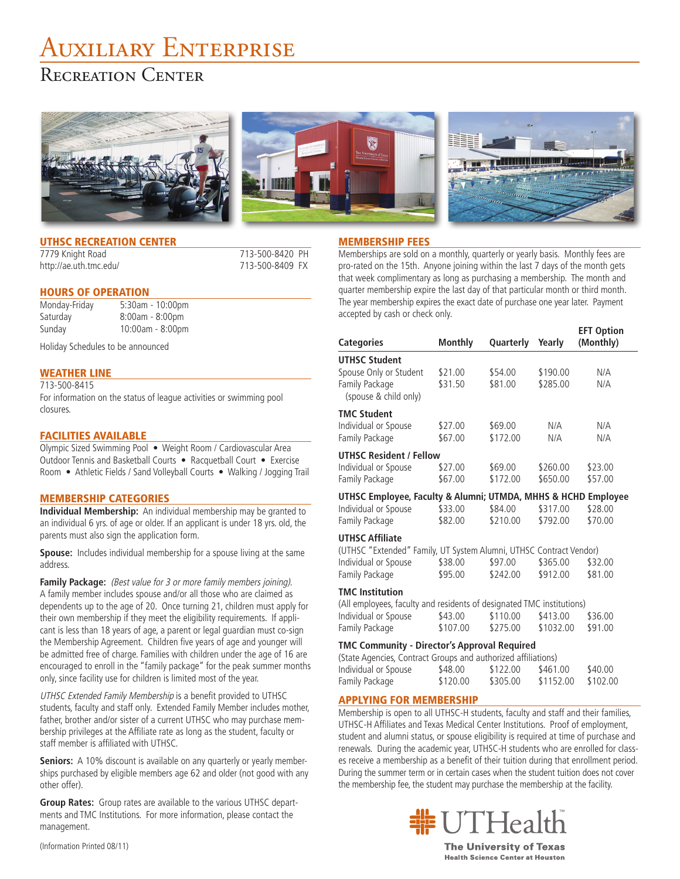# Auxiliary Enterprise

# Recreation Center







**EFT** Option

# UTHSC RECREATION CENTER

http://ae.uth.tmc.edu/ 713-500-8409 FX

# 7779 Knight Road 713-500-8420 PH

### HOURS OF OPERATION

Monday-Friday 5:30am - 10:00pm Saturday 8:00am - 8:00pm Sunday 10:00am - 8:00pm

Holiday Schedules to be announced

## WEATHER LINE

713-500-8415 For information on the status of league activities or swimming pool closures.

### FACILITIES AVAILABLE

Olympic Sized Swimming Pool • Weight Room / Cardiovascular Area Outdoor Tennis and Basketball Courts • Racquetball Court • Exercise Room • Athletic Fields / Sand Volleyball Courts • Walking / Jogging Trail

#### MEMBERSHIP CATEGORIES

**Individual Membership:** An individual membership may be granted to an individual 6 yrs. of age or older. If an applicant is under 18 yrs. old, the parents must also sign the application form.

**Spouse:** Includes individual membership for a spouse living at the same address.

**Family Package:** (Best value for 3 or more family members joining). A family member includes spouse and/or all those who are claimed as dependents up to the age of 20. Once turning 21, children must apply for their own membership if they meet the eligibility requirements. If applicant is less than 18 years of age, a parent or legal guardian must co-sign the Membership Agreement. Children five years of age and younger will be admitted free of charge. Families with children under the age of 16 are encouraged to enroll in the "family package" for the peak summer months only, since facility use for children is limited most of the year.

UTHSC Extended Family Membership is a benefit provided to UTHSC students, faculty and staff only. Extended Family Member includes mother, father, brother and/or sister of a current UTHSC who may purchase membership privileges at the Affiliate rate as long as the student, faculty or staff member is affiliated with UTHSC.

**Seniors:** A 10% discount is available on any quarterly or yearly memberships purchased by eligible members age 62 and older (not good with any other offer).

**Group Rates:** Group rates are available to the various UTHSC departments and TMC Institutions. For more information, please contact the management.

#### MEMBERSHIP FEES

Memberships are sold on a monthly, quarterly or yearly basis. Monthly fees are pro-rated on the 15th. Anyone joining within the last 7 days of the month gets that week complimentary as long as purchasing a membership. The month and quarter membership expire the last day of that particular month or third month. The year membership expires the exact date of purchase one year later. Payment accepted by cash or check only.

| <b>Categories</b>                                             | <b>Monthly</b> | Quarterly | Yearly   | (Monthly) |  |  |
|---------------------------------------------------------------|----------------|-----------|----------|-----------|--|--|
| <b>UTHSC Student</b>                                          |                |           |          |           |  |  |
| Spouse Only or Student                                        | \$21.00        | \$54.00   | \$190.00 | N/A       |  |  |
| Family Package<br>(spouse & child only)                       | \$31.50        | \$81.00   | \$285.00 | N/A       |  |  |
| <b>TMC Student</b>                                            |                |           |          |           |  |  |
| Individual or Spouse                                          | \$27.00        | \$69.00   | N/A      | N/A       |  |  |
| Family Package                                                | \$67.00        | \$172.00  | N/A      | N/A       |  |  |
| <b>UTHSC Resident / Fellow</b>                                |                |           |          |           |  |  |
| Individual or Spouse                                          | \$27.00        | \$69.00   | \$260.00 | \$23.00   |  |  |
| Family Package                                                | \$67.00        | \$172.00  | \$650.00 | \$57.00   |  |  |
| UTHSC Employee, Faculty & Alumni; UTMDA, MHHS & HCHD Employee |                |           |          |           |  |  |
| Individual or Spouse                                          | \$33.00        | \$84.00   | \$317.00 | \$28.00   |  |  |
| Family Package                                                | \$82.00        | \$210.00  | \$792.00 | \$70.00   |  |  |

#### **UTHSC Affiliate**

| (UTHSC "Extended" Family, UT System Alumni, UTHSC Contract Vendor) |         |          |          |         |
|--------------------------------------------------------------------|---------|----------|----------|---------|
| Individual or Spouse                                               | \$38.00 | \$97.00  | \$365.00 | \$32.00 |
| Family Package                                                     | \$95.00 | \$242.00 | \$912.00 | \$81.00 |

#### **TMC Institution**

| (All employees, faculty and residents of designated TMC institutions) |          |          |           |         |
|-----------------------------------------------------------------------|----------|----------|-----------|---------|
| Individual or Spouse                                                  | \$43.00  | \$110.00 | \$413.00  | \$36.00 |
| Family Package                                                        | \$107.00 | \$275.00 | \$1032.00 | \$91.00 |

#### **TMC Community - Director's Approval Required**

| (State Agencies, Contract Groups and authorized affiliations) |          |          |           |          |
|---------------------------------------------------------------|----------|----------|-----------|----------|
| Individual or Spouse                                          | \$48.00  | \$122.00 | \$461.00  | \$40.00  |
| Family Package                                                | \$120.00 | \$305.00 | \$1152.00 | \$102.00 |

#### APPLYING FOR MEMBERSHIP

Membership is open to all UTHSC-H students, faculty and staff and their families, UTHSC-H Affiliates and Texas Medical Center Institutions. Proof of employment, student and alumni status, or spouse eligibility is required at time of purchase and renewals. During the academic year, UTHSC-H students who are enrolled for classes receive a membership as a benefit of their tuition during that enrollment period. During the summer term or in certain cases when the student tuition does not cover the membership fee, the student may purchase the membership at the facility.



**The University of Texas Health Science Center at Houston** 

(Information Printed 08/11)